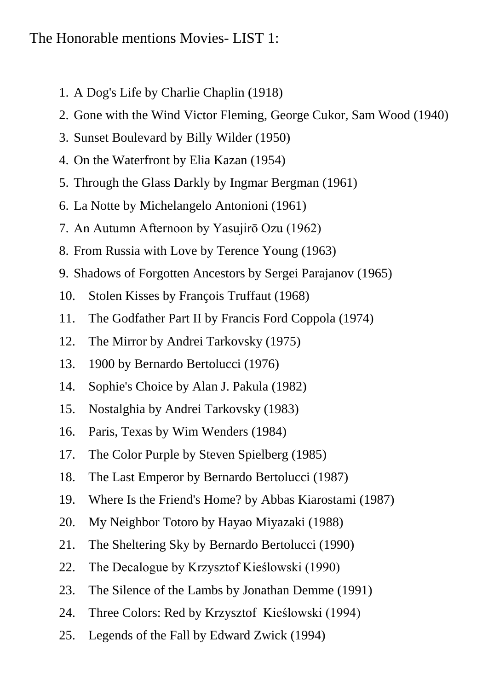## The Honorable mentions Movies- LIST 1:

- 1. A Dog's Life by Charlie Chaplin (1918)
- 2. Gone with the Wind Victor Fleming, George Cukor, Sam Wood (1940)
- 3. Sunset Boulevard by Billy Wilder (1950)
- 4. On the Waterfront by Elia Kazan (1954)
- 5. Through the Glass Darkly by Ingmar Bergman (1961)
- 6. La Notte by Michelangelo Antonioni (1961)
- 7. An Autumn Afternoon by Yasujirō Ozu (1962)
- 8. From Russia with Love by Terence Young (1963)
- 9. Shadows of Forgotten Ancestors by Sergei Parajanov (1965)
- 10. Stolen Kisses by François Truffaut (1968)
- 11. The Godfather Part II by Francis Ford Coppola (1974)
- 12. The Mirror by Andrei Tarkovsky (1975)
- 13. 1900 by Bernardo Bertolucci (1976)
- 14. Sophie's Choice by Alan J. Pakula (1982)
- 15. Nostalghia by Andrei Tarkovsky (1983)
- 16. Paris, Texas by Wim Wenders (1984)
- 17. The Color Purple by Steven Spielberg (1985)
- 18. The Last Emperor by Bernardo Bertolucci (1987)
- 19. Where Is the Friend's Home? by Abbas Kiarostami (1987)
- 20. My Neighbor Totoro by Hayao Miyazaki (1988)
- 21. The Sheltering Sky by Bernardo Bertolucci (1990)
- 22. The Decalogue by Krzysztof Kieślowski (1990)
- 23. The Silence of the Lambs by Jonathan Demme (1991)
- 24. Three Colors: Red by Krzysztof Kieślowski (1994)
- 25. Legends of the Fall by Edward Zwick (1994)